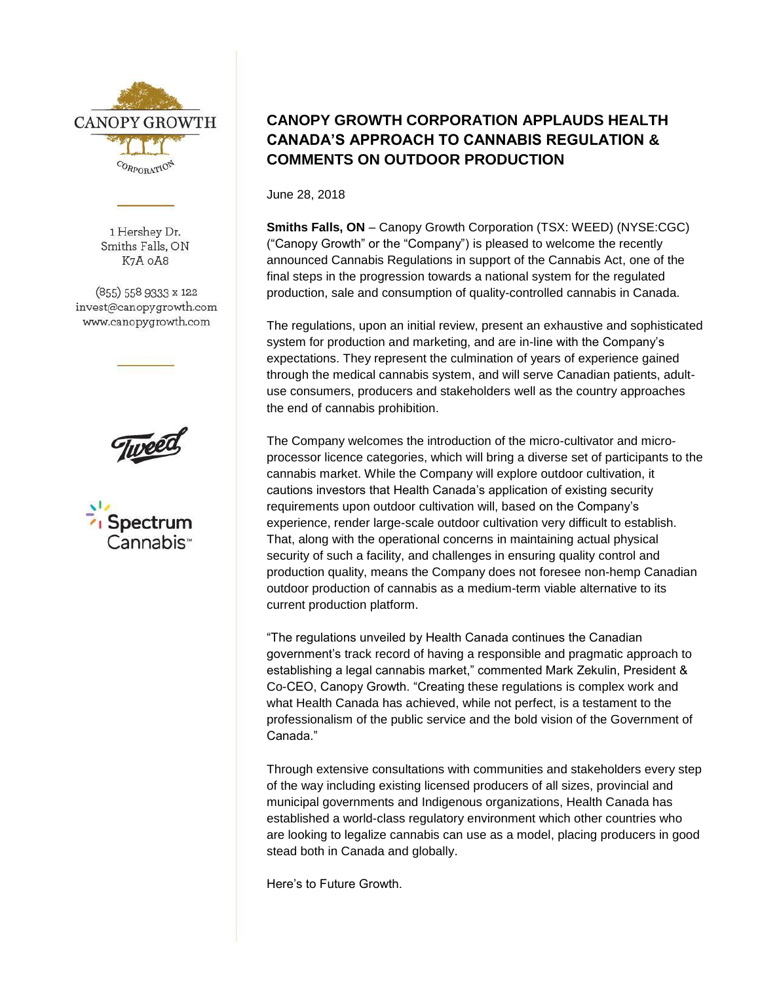

1 Hershey Dr. Smiths Falls, ON K7A OA8

(855) 558 9333 x 122 invest@canopygrowth.com www.canopygrowth.com





## **CANOPY GROWTH CORPORATION APPLAUDS HEALTH CANADA'S APPROACH TO CANNABIS REGULATION & COMMENTS ON OUTDOOR PRODUCTION**

June 28, 2018

**Smiths Falls, ON** – Canopy Growth Corporation (TSX: WEED) (NYSE:CGC) ("Canopy Growth" or the "Company") is pleased to welcome the recently announced Cannabis Regulations in support of the Cannabis Act, one of the final steps in the progression towards a national system for the regulated production, sale and consumption of quality-controlled cannabis in Canada.

The regulations, upon an initial review, present an exhaustive and sophisticated system for production and marketing, and are in-line with the Company's expectations. They represent the culmination of years of experience gained through the medical cannabis system, and will serve Canadian patients, adultuse consumers, producers and stakeholders well as the country approaches the end of cannabis prohibition.

The Company welcomes the introduction of the micro-cultivator and microprocessor licence categories, which will bring a diverse set of participants to the cannabis market. While the Company will explore outdoor cultivation, it cautions investors that Health Canada's application of existing security requirements upon outdoor cultivation will, based on the Company's experience, render large-scale outdoor cultivation very difficult to establish. That, along with the operational concerns in maintaining actual physical security of such a facility, and challenges in ensuring quality control and production quality, means the Company does not foresee non-hemp Canadian outdoor production of cannabis as a medium-term viable alternative to its current production platform.

"The regulations unveiled by Health Canada continues the Canadian government's track record of having a responsible and pragmatic approach to establishing a legal cannabis market," commented Mark Zekulin, President & Co-CEO, Canopy Growth. "Creating these regulations is complex work and what Health Canada has achieved, while not perfect, is a testament to the professionalism of the public service and the bold vision of the Government of Canada."

Through extensive consultations with communities and stakeholders every step of the way including existing licensed producers of all sizes, provincial and municipal governments and Indigenous organizations, Health Canada has established a world-class regulatory environment which other countries who are looking to legalize cannabis can use as a model, placing producers in good stead both in Canada and globally.

Here's to Future Growth.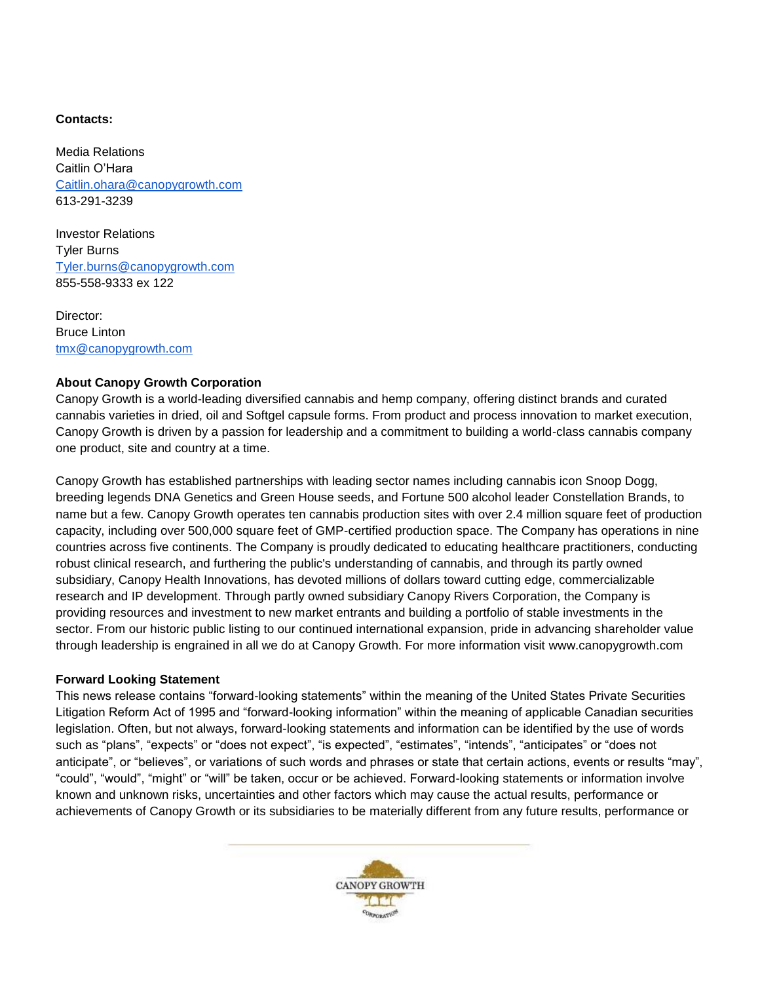## **Contacts:**

Media Relations Caitlin O'Hara [Caitlin.ohara@canopygrowth.com](mailto:Caitlin.ohara@canopygrowth.com) 613-291-3239

Investor Relations Tyler Burns [Tyler.burns@canopygrowth.com](mailto:Tyler.burns@canopygrowth.com) 855-558-9333 ex 122

Director: Bruce Linton [tmx@canopygrowth.com](mailto:tmx@canopygrowth.com)

## **About Canopy Growth Corporation**

Canopy Growth is a world-leading diversified cannabis and hemp company, offering distinct brands and curated cannabis varieties in dried, oil and Softgel capsule forms. From product and process innovation to market execution, Canopy Growth is driven by a passion for leadership and a commitment to building a world-class cannabis company one product, site and country at a time.

Canopy Growth has established partnerships with leading sector names including cannabis icon Snoop Dogg, breeding legends DNA Genetics and Green House seeds, and Fortune 500 alcohol leader Constellation Brands, to name but a few. Canopy Growth operates ten cannabis production sites with over 2.4 million square feet of production capacity, including over 500,000 square feet of GMP-certified production space. The Company has operations in nine countries across five continents. The Company is proudly dedicated to educating healthcare practitioners, conducting robust clinical research, and furthering the public's understanding of cannabis, and through its partly owned subsidiary, Canopy Health Innovations, has devoted millions of dollars toward cutting edge, commercializable research and IP development. Through partly owned subsidiary Canopy Rivers Corporation, the Company is providing resources and investment to new market entrants and building a portfolio of stable investments in the sector. From our historic public listing to our continued international expansion, pride in advancing shareholder value through leadership is engrained in all we do at Canopy Growth. For more information visit www.canopygrowth.com

## **Forward Looking Statement**

This news release contains "forward-looking statements" within the meaning of the United States Private Securities Litigation Reform Act of 1995 and "forward-looking information" within the meaning of applicable Canadian securities legislation. Often, but not always, forward-looking statements and information can be identified by the use of words such as "plans", "expects" or "does not expect", "is expected", "estimates", "intends", "anticipates" or "does not anticipate", or "believes", or variations of such words and phrases or state that certain actions, events or results "may", "could", "would", "might" or "will" be taken, occur or be achieved. Forward-looking statements or information involve known and unknown risks, uncertainties and other factors which may cause the actual results, performance or achievements of Canopy Growth or its subsidiaries to be materially different from any future results, performance or